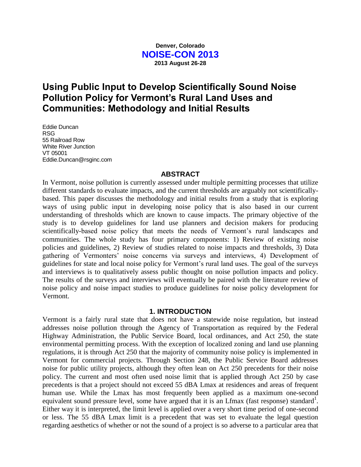### **Denver, Colorado NOISE-CON 2013 2013 August 26-28**

# **Using Public Input to Develop Scientifically Sound Noise Pollution Policy for Vermont's Rural Land Uses and Communities: Methodology and Initial Results**

Eddie Duncan RSG 55 Railroad Row White River Junction VT 05001 Eddie.Duncan@rsginc.com

#### **ABSTRACT**

In Vermont, noise pollution is currently assessed under multiple permitting processes that utilize different standards to evaluate impacts, and the current thresholds are arguably not scientificallybased. This paper discusses the methodology and initial results from a study that is exploring ways of using public input in developing noise policy that is also based in our current understanding of thresholds which are known to cause impacts. The primary objective of the study is to develop guidelines for land use planners and decision makers for producing scientifically-based noise policy that meets the needs of Vermont's rural landscapes and communities. The whole study has four primary components: 1) Review of existing noise policies and guidelines, 2) Review of studies related to noise impacts and thresholds, 3) Data gathering of Vermonters' noise concerns via surveys and interviews, 4) Development of guidelines for state and local noise policy for Vermont's rural land uses. The goal of the surveys and interviews is to qualitatively assess public thought on noise pollution impacts and policy. The results of the surveys and interviews will eventually be paired with the literature review of noise policy and noise impact studies to produce guidelines for noise policy development for Vermont.

#### **1. INTRODUCTION**

Vermont is a fairly rural state that does not have a statewide noise regulation, but instead addresses noise pollution through the Agency of Transportation as required by the Federal Highway Administration, the Public Service Board, local ordinances, and Act 250, the state environmental permitting process. With the exception of localized zoning and land use planning regulations, it is through Act 250 that the majority of community noise policy is implemented in Vermont for commercial projects. Through Section 248, the Public Service Board addresses noise for public utility projects, although they often lean on Act 250 precedents for their noise policy. The current and most often used noise limit that is applied through Act 250 by case precedents is that a project should not exceed 55 dBA Lmax at residences and areas of frequent human use. While the Lmax has most frequently been applied as a maximum one-second equivalent sound pressure level, some have argued that it is an Lfmax (fast response) standard<sup>1</sup>. Either way it is interpreted, the limit level is applied over a very short time period of one-second or less. The 55 dBA Lmax limit is a precedent that was set to evaluate the legal question regarding aesthetics of whether or not the sound of a project is so adverse to a particular area that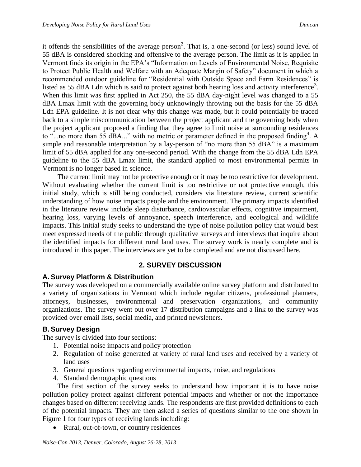it offends the sensibilities of the average person<sup>2</sup>. That is, a one-second (or less) sound level of 55 dBA is considered shocking and offensive to the average person. The limit as it is applied in Vermont finds its origin in the EPA's "Information on Levels of Environmental Noise, Requisite to Protect Public Health and Welfare with an Adequate Margin of Safety" document in which a recommended outdoor guideline for "Residential with Outside Space and Farm Residences" is listed as 55 dBA Ldn which is said to protect against both hearing loss and activity interference<sup>3</sup>. When this limit was first applied in Act 250, the 55 dBA day-night level was changed to a 55 dBA Lmax limit with the governing body unknowingly throwing out the basis for the 55 dBA Ldn EPA guideline. It is not clear why this change was made, but it could potentially be traced back to a simple miscommunication between the project applicant and the governing body when the project applicant proposed a finding that they agree to limit noise at surrounding residences to "...no more than 55 dBA..." with no metric or parameter defined in the proposed finding<sup>4</sup>. A simple and reasonable interpretation by a lay-person of "no more than 55 dBA" is a maximum limit of 55 dBA applied for any one-second period. With the change from the 55 dBA Ldn EPA guideline to the 55 dBA Lmax limit, the standard applied to most environmental permits in Vermont is no longer based in science.

The current limit may not be protective enough or it may be too restrictive for development. Without evaluating whether the current limit is too restrictive or not protective enough, this initial study, which is still being conducted, considers via literature review, current scientific understanding of how noise impacts people and the environment. The primary impacts identified in the literature review include sleep disturbance, cardiovascular effects, cognitive impairment, hearing loss, varying levels of annoyance, speech interference, and ecological and wildlife impacts. This initial study seeks to understand the type of noise pollution policy that would best meet expressed needs of the public through qualitative surveys and interviews that inquire about the identified impacts for different rural land uses. The survey work is nearly complete and is introduced in this paper. The interviews are yet to be completed and are not discussed here.

# **2. SURVEY DISCUSSION**

# **A. Survey Platform & Distribution**

The survey was developed on a commercially available online survey platform and distributed to a variety of organizations in Vermont which include regular citizens, professional planners, attorneys, businesses, environmental and preservation organizations, and community organizations. The survey went out over 17 distribution campaigns and a link to the survey was provided over email lists, social media, and printed newsletters.

# **B. Survey Design**

The survey is divided into four sections:

- 1. Potential noise impacts and policy protection
- 2. Regulation of noise generated at variety of rural land uses and received by a variety of land uses
- 3. General questions regarding environmental impacts, noise, and regulations
- 4. Standard demographic questions

The first section of the survey seeks to understand how important it is to have noise pollution policy protect against different potential impacts and whether or not the importance changes based on different receiving lands. The respondents are first provided definitions to each of the potential impacts. They are then asked a series of questions similar to the one shown in Figure 1 for four types of receiving lands including:

• Rural, out-of-town, or country residences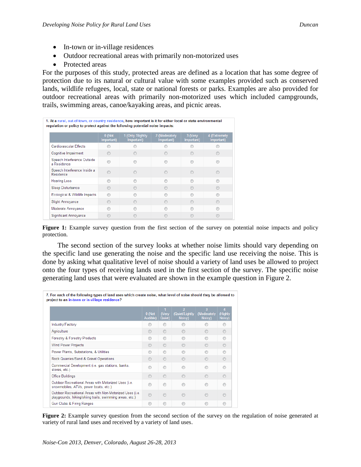- In-town or in-village residences
- Outdoor recreational areas with primarily non-motorized uses
- Protected areas

For the purposes of this study, protected areas are defined as a location that has some degree of protection due to its natural or cultural value with some examples provided such as conserved lands, wildlife refugees, local, state or national forests or parks. Examples are also provided for outdoor recreational areas with primarily non-motorized uses which included campgrounds, trails, swimming areas, canoe/kayaking areas, and picnic areas.

| 1. At a rural, out-of-town, or country residence, how important is it for either local or state environmental<br>regulation or policy to protect against the following potential noise impacts: |                      |                                |                             |                       |                            |  |  |
|-------------------------------------------------------------------------------------------------------------------------------------------------------------------------------------------------|----------------------|--------------------------------|-----------------------------|-----------------------|----------------------------|--|--|
|                                                                                                                                                                                                 | 0 (Not<br>Important) | 1 (Only Slightly<br>Important) | 2 (Moderately<br>Important) | 3 (Very<br>Important) | 4 (Extremely<br>Important) |  |  |
| Cardiovascular Effects                                                                                                                                                                          |                      |                                |                             |                       |                            |  |  |
| Cognitive Impairment                                                                                                                                                                            | ⋒                    |                                |                             |                       |                            |  |  |
| Speech Interference Outside<br>a Residence                                                                                                                                                      |                      |                                |                             |                       |                            |  |  |
| Speech Interference Inside a<br>Residence                                                                                                                                                       |                      |                                |                             |                       |                            |  |  |
| <b>Hearing Loss</b>                                                                                                                                                                             | ⋒                    |                                |                             |                       |                            |  |  |
| Sleep Disturbance                                                                                                                                                                               | ⋒                    |                                |                             |                       |                            |  |  |
| Ecological & Wildlife Impacts                                                                                                                                                                   | ⋒                    |                                |                             |                       |                            |  |  |
| <b>Slight Annovance</b>                                                                                                                                                                         |                      |                                |                             |                       |                            |  |  |
| Moderate Annoyance                                                                                                                                                                              | ⋒                    |                                |                             |                       |                            |  |  |
| Significant Annoyance                                                                                                                                                                           |                      |                                |                             |                       |                            |  |  |

**Figure 1:** Example survey question from the first section of the survey on potential noise impacts and policy protection.

The second section of the survey looks at whether noise limits should vary depending on the specific land use generating the noise and the specific land use receiving the noise. This is done by asking what qualitative level of noise should a variety of land uses be allowed to project onto the four types of receiving lands used in the first section of the survey. The specific noise generating land uses that were evaluated are shown in the example question in Figure 2.

|                                                                                                                      | 0 (Not<br>Audible) | 1<br>(Very<br>Quiet) | $\overline{2}$<br>(Quiet/Lightly)<br>Noisy) | $\overline{\mathbf{3}}$<br>(Moderately<br>Noisy) | $\overline{4}$<br>(Highly<br>Noisy) |
|----------------------------------------------------------------------------------------------------------------------|--------------------|----------------------|---------------------------------------------|--------------------------------------------------|-------------------------------------|
| Industry/Factory                                                                                                     | ◉                  | $\odot$              | ⋒                                           | ∩                                                | $\odot$                             |
| Agriculture                                                                                                          | $\odot$            | $\odot$              |                                             | ∩                                                | $\odot$                             |
| Forestry & Forestry Products                                                                                         | ∩                  | $\odot$              |                                             | ∩                                                | ∩                                   |
| <b>Wind Power Projects</b>                                                                                           | $\odot$            | $\odot$              |                                             | $\odot$                                          | $\odot$                             |
| Power Plants, Substations, & Utilities                                                                               | ⊙                  | $\odot$              | ⋒                                           | ⋒                                                | ∩                                   |
| Rock Quarries/Sand & Gravel Operations                                                                               | $\odot$            | $\odot$              |                                             | $\odot$                                          | ∩                                   |
| Commercial Development (i.e. gas stations, banks,<br>stores, etc.)                                                   | ⋒                  | $\odot$              | ⋒                                           | ⋒                                                | ⋒                                   |
| <b>Office Buildings</b>                                                                                              | $\odot$            | $\odot$              |                                             | $\odot$                                          | $\odot$                             |
| Outdoor Recreational Areas with Motorized Uses (i.e.<br>snowmobiles, ATVs, power boats, etc.)                        |                    | ∩                    |                                             | ⋒                                                | €                                   |
| Outdoor Recreational Areas with Non-Motorized Uses (i.e.<br>playgrounds, hiking/skiing trails, swimming areas, etc.) | $\odot$            | ∩                    |                                             |                                                  | ⋒                                   |
| Gun Clubs & Firing Ranges                                                                                            | ⊙                  | ◉                    | ⋒                                           | ⋒                                                | C                                   |

**Figure 2:** Example survey question from the second section of the survey on the regulation of noise generated at variety of rural land uses and received by a variety of land uses.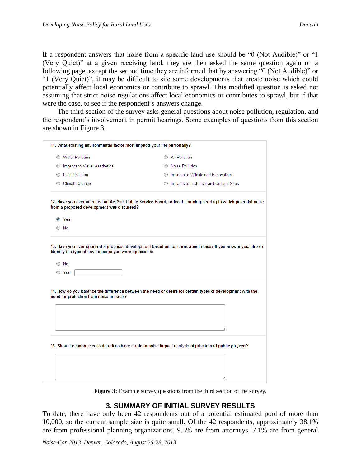If a respondent answers that noise from a specific land use should be "0 (Not Audible)" or "1 (Very Quiet)" at a given receiving land, they are then asked the same question again on a following page, except the second time they are informed that by answering "0 (Not Audible)" or "1 (Very Quiet)", it may be difficult to site some developments that create noise which could potentially affect local economics or contribute to sprawl. This modified question is asked not assuming that strict noise regulations affect local economics or contributes to sprawl, but if that were the case, to see if the respondent's answers change.

The third section of the survey asks general questions about noise pollution, regulation, and the respondent's involvement in permit hearings. Some examples of questions from this section are shown in Figure 3.

| 11. What existing environmental factor most impacts your life personally? |                                                                                                                 |  |  |  |
|---------------------------------------------------------------------------|-----------------------------------------------------------------------------------------------------------------|--|--|--|
| <b>Water Pollution</b><br>⊙                                               | Air Pollution                                                                                                   |  |  |  |
| Impacts to Visual Aesthetics<br>◎                                         | <b>Noise Pollution</b>                                                                                          |  |  |  |
| <b>Light Pollution</b><br>O                                               | Impacts to Wildlife and Ecosystems                                                                              |  |  |  |
| <b>Climate Change</b><br>⊙                                                | Impacts to Historical and Cultural Sites                                                                        |  |  |  |
| from a proposed development was discussed?                                | 12. Have you ever attended an Act 250, Public Service Board, or local planning hearing in which potential noise |  |  |  |
| O Yes                                                                     |                                                                                                                 |  |  |  |
| $\circ$ No                                                                |                                                                                                                 |  |  |  |
| need for protection from noise impacts?                                   | 14. How do you balance the difference between the need or desire for certain types of development with the      |  |  |  |
|                                                                           |                                                                                                                 |  |  |  |
|                                                                           | 15. Should economic considerations have a role in noise impact analysis of private and public projects?         |  |  |  |
|                                                                           |                                                                                                                 |  |  |  |
|                                                                           |                                                                                                                 |  |  |  |

**Figure 3:** Example survey questions from the third section of the survey.

### **3. SUMMARY OF INITIAL SURVEY RESULTS**

To date, there have only been 42 respondents out of a potential estimated pool of more than 10,000, so the current sample size is quite small. Of the 42 respondents, approximately 38.1% are from professional planning organizations, 9.5% are from attorneys, 7.1% are from general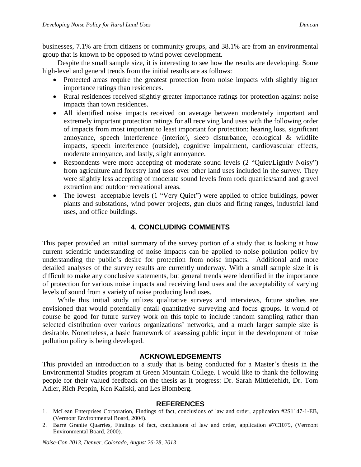businesses, 7.1% are from citizens or community groups, and 38.1% are from an environmental group that is known to be opposed to wind power development.

Despite the small sample size, it is interesting to see how the results are developing. Some high-level and general trends from the initial results are as follows:

- Protected areas require the greatest protection from noise impacts with slightly higher importance ratings than residences.
- Rural residences received slightly greater importance ratings for protection against noise impacts than town residences.
- All identified noise impacts received on average between moderately important and extremely important protection ratings for all receiving land uses with the following order of impacts from most important to least important for protection: hearing loss, significant annoyance, speech interference (interior), sleep disturbance, ecological & wildlife impacts, speech interference (outside), cognitive impairment, cardiovascular effects, moderate annoyance, and lastly, slight annoyance.
- Respondents were more accepting of moderate sound levels (2 "Quiet/Lightly Noisy") from agriculture and forestry land uses over other land uses included in the survey. They were slightly less accepting of moderate sound levels from rock quarries/sand and gravel extraction and outdoor recreational areas.
- The lowest acceptable levels (1 "Very Quiet") were applied to office buildings, power plants and substations, wind power projects, gun clubs and firing ranges, industrial land uses, and office buildings.

# **4. CONCLUDING COMMENTS**

This paper provided an initial summary of the survey portion of a study that is looking at how current scientific understanding of noise impacts can be applied to noise pollution policy by understanding the public's desire for protection from noise impacts. Additional and more detailed analyses of the survey results are currently underway. With a small sample size it is difficult to make any conclusive statements, but general trends were identified in the importance of protection for various noise impacts and receiving land uses and the acceptability of varying levels of sound from a variety of noise producing land uses.

While this initial study utilizes qualitative surveys and interviews, future studies are envisioned that would potentially entail quantitative surveying and focus groups. It would of course be good for future survey work on this topic to include random sampling rather than selected distribution over various organizations' networks, and a much larger sample size is desirable. Nonetheless, a basic framework of assessing public input in the development of noise pollution policy is being developed.

#### **ACKNOWLEDGEMENTS**

This provided an introduction to a study that is being conducted for a Master's thesis in the Environmental Studies program at Green Mountain College. I would like to thank the following people for their valued feedback on the thesis as it progress: Dr. Sarah Mittlefehldt, Dr. Tom Adler, Rich Peppin, Ken Kaliski, and Les Blomberg.

#### **REFERENCES**

- 1. McLean Enterprises Corporation, Findings of fact, conclusions of law and order, application #2S1147-1-EB, (Vermont Environmental Board, 2004).
- 2. Barre Granite Quarries, Findings of fact, conclusions of law and order, application #7C1079, (Vermont Environmental Board, 2000).